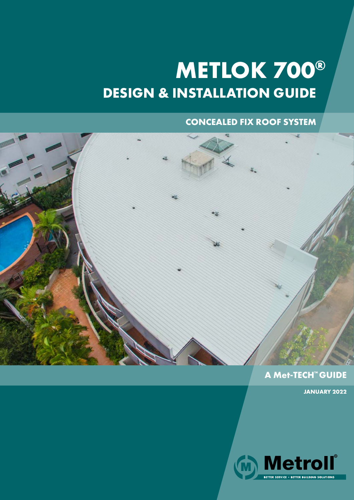# **DESIGN & INSTALLATION GUIDE METLOK 700®**

# **CONCEALED FIX ROOF SYSTEM**



# **A Met-TECH™ GUIDE**

**JANUARY 2022**

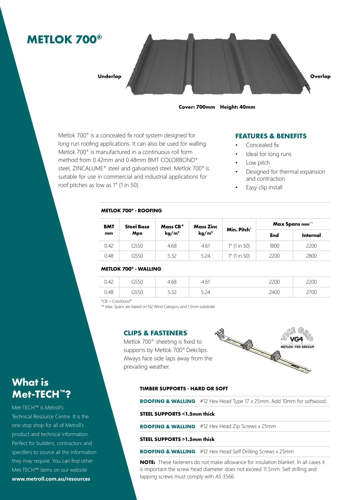# **METLOK 700®**



**Cover: 700mm Height: 40mm**

Metlok 700® is a concealed fix roof system designed for long run roofing applications. It can also be used for walling. Metlok 700® is manufactured in a continuous roll form method from 0.42mm and 0.48mm BMT COLORBOND® steel, ZINCALUME® steel and galvanised steel. Metlok 700® is suitable for use in commercial and industrial applications for roof pitches as low as 1° (1 in 50).

#### **FEATURES & BENEFITS**

- Concealed fix
	- Ideal for long runs
- Low pitch
- Designed for thermal expansion and contraction
- Easy clip install

#### **METLOK 700® - ROOFING**

| <b>BMT</b><br>mm | <b>Steel Base</b> | Mass CB* | Mass Zinc                  | Min. Pitch°           | Max Spans mm** |          |  |  |
|------------------|-------------------|----------|----------------------------|-----------------------|----------------|----------|--|--|
|                  | Mpa               | $kq/m^2$ | $\mathbf{kg}/\mathbf{m}^2$ |                       | End            | Internal |  |  |
| 0.42             | G550              | 4.68     | 4.61                       | $1^{\circ}$ (1 in 50) | 1800           | 2200     |  |  |
| 0.48             | G550              | 5.32     | 5.24                       | $1^{\circ}$ (1 in 50) | 2200           | 2800     |  |  |

#### **METLOK 700® - WALLING**

| $\sim$<br>ᅭ<br>∪.⊤∟ | コフフレ  | 1.68         | $\sim$<br>ا ب ا | nnr  | 200  |
|---------------------|-------|--------------|-----------------|------|------|
| 0.48                | ーンフロー | r 22<br>---- | ا ے،ب           | 2400 | 2700 |

 $*CB = Colorbond^*$ 

\*\* Max. Spans are based on N2 Wind Category and 1.5mm substrate

#### **CLIPS & FASTENERS**

Metlok 700® sheeting is fixed to supports by Metlok 700® Dekclips. prevailing weather.



#### **TIMBER SUPPORTS - HARD OR SOFT**

**ROOFING & WALLING** #12 Hex Head Type 17 x 25mm. Add 10mm for softwood.

#### **STEEL SUPPORTS <1.5mm thick**

**ROOFING & WALLING** #12 Hex Head Zip Screws x 25mm

#### **STEEL SUPPORTS >1.5mm thick**

**ROOFING & WALLING** #12 Hex Head Self Drilling Screws x 25mm

**NOTE:** These fasteners do not make allowance for insulation blanket. In all cases it is important the screw head diameter does not exceed 11.5mm. Self drilling and tapping screws must comply with AS 3566.

# **What is Met-TECH™?**

Met-TECH™ is Metroll's

Technical Resource Centre. It is the one stop shop for all of Metroll's product and technical information. Perfect for builders, contractors and specifiers to source all the information they may require. You can find other Met-TECH™ items on our website **www.metroll.com.au/resources**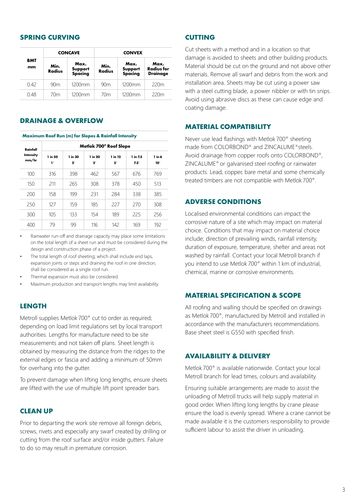## **SPRING CURVING**

|           |                       | <b>CONCAVE</b>             | <b>CONVEX</b>         |                            |                                              |  |  |  |
|-----------|-----------------------|----------------------------|-----------------------|----------------------------|----------------------------------------------|--|--|--|
| BMT<br>mm | Min.<br><b>Radius</b> | Max.<br>Support<br>Spacing | Min.<br><b>Radius</b> | Max.<br>Support<br>Spacing | Max.<br><b>Radius for</b><br><b>Drainage</b> |  |  |  |
| 042       | 90m                   | $1200$ mm                  | 90 <sub>m</sub>       | $1200$ mm                  | 220m                                         |  |  |  |
| 0.48      | 70 <sub>m</sub>       | $1200$ mm                  | 70 <sub>m</sub>       | $1200$ mm                  | 220m                                         |  |  |  |

# **DRAINAGE & OVERFLOW**

#### **Maximum Roof Run (m) for Slopes & Rainfall Intensity**

| Rainfall           | Metlok 700 <sup>®</sup> Roof Slope |                        |                      |               |                         |               |  |  |  |  |  |
|--------------------|------------------------------------|------------------------|----------------------|---------------|-------------------------|---------------|--|--|--|--|--|
| Intensity<br>mm/hr | 1 in 50<br>$\mathbf{I}^{\circ}$    | 1 in 30<br>$2^{\circ}$ | 1 in 20<br>$3^\circ$ | 1 in 12<br>5° | 1 in 7.5<br>$7.5^\circ$ | 1 in 6<br>10° |  |  |  |  |  |
| 100                | 316                                | 398                    | 462                  | 567           | 676                     | 769           |  |  |  |  |  |
| 150                | 211                                | 265                    | 308                  | 378           | 450                     | 513           |  |  |  |  |  |
| 200                | 158                                | 199                    | 231                  | 284           | 338                     | 385           |  |  |  |  |  |
| 250                | 127                                | 159                    | 185                  | 227           | 270                     | 308           |  |  |  |  |  |
| 300                | 10 <sub>5</sub>                    | 133                    | 154                  | 189           | 225                     | 256           |  |  |  |  |  |
| 400                | 79                                 | 99                     | 116                  | 142           | 169                     | 192           |  |  |  |  |  |

- Rainwater run-off and drainage capacity may place some limitations on the total length of a sheet run and must be considered during the design and construction phase of a project.
- The total length of roof sheeting; which shall include end laps, expansion joints or steps and draining the roof in one direction, shall be considered as a single roof run.
- Thermal expansion must also be considered.
- Maximum production and transport lengths may limit availability.

#### **LENGTH**

Metroll supplies Metlok 700® cut to order as required; depending on load limit regulations set by local transport authorities. Lengths for manufacture need to be site measurements and not taken off plans. Sheet length is obtained by measuring the distance from the ridges to the external edges or fascia and adding a minimum of 50mm for overhang into the gutter.

To prevent damage when lifting long lengths, ensure sheets are lifted with the use of multiple lift point spreader bars.

#### **CLEAN UP**

Prior to departing the work site remove all foreign debris, screws, rivets and especially any swarf created by drilling or cutting from the roof surface and/or inside gutters. Failure to do so may result in premature corrosion.

### **CUTTING**

Cut sheets with a method and in a location so that damage is avoided to sheets and other building products. Material should be cut on the ground and not above other materials. Remove all swarf and debris from the work and installation area. Sheets may be cut using a power saw with a steel cutting blade, a power nibbler or with tin snips. Avoid using abrasive discs as these can cause edge and coating damage.

#### **MATERIAL COMPATIBILITY**

Never use lead flashings with Metlok 700® sheeting made from COLORBOND® and ZINCALUME®steels. Avoid drainage from copper roofs onto COLORBOND®, ZINCALUME® or galvanised steel roofing or rainwater products. Lead, copper, bare metal and some chemically treated timbers are not compatible with Metlok 700®.

#### **ADVERSE CONDITIONS**

Localised environmental conditions can impact the corrosive nature of a site which may impact on material choice. Conditions that may impact on material choice include; direction of prevailing winds, rainfall intensity, duration of exposure, temperature, shelter and areas not washed by rainfall. Contact your local Metroll branch if you intend to use Metlok 700® within 1 km of industrial, chemical, marine or corrosive environments.

#### **MATERIAL SPECIFICATION & SCOPE**

All roofing and walling should be specified on drawings as Metlok 700®, manufactured by Metroll and installed in accordance with the manufacturers recommendations. Base sheet steel is G550 with specified finish.

#### **AVAILABILITY & DELIVERY**

Metlok 700® is available nationwide. Contact your local Metroll branch for lead times, colours and availability.

Ensuring suitable arrangements are made to assist the unloading of Metroll trucks will help supply material in good order. When lifting long lengths by crane please ensure the load is evenly spread. Where a crane cannot be made available it is the customers responsibility to provide sufficient labour to assist the driver in unloading.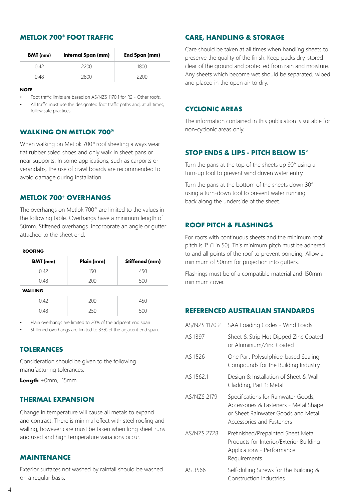# **METLOK 700® FOOT TRAFFIC**

| <b>BMT</b> (mm) | Internal Span (mm) | End Span (mm) |  |  |  |  |
|-----------------|--------------------|---------------|--|--|--|--|
| O 42            | 2200               | 1800          |  |  |  |  |
| 0.48            | 2800               | 2200          |  |  |  |  |

#### **NOTE**

- Foot traffic limits are based on AS/NZS 1170.1 for R2 Other roofs.
- All traffic must use the designated foot traffic paths and, at all times, follow safe practices.

### **WALKING ON METLOK 700®**

When walking on Metlok 700® roof sheeting always wear flat rubber soled shoes and only walk in sheet pans or near supports. In some applications, such as carports or verandahs, the use of crawl boards are recommended to avoid damage during installation

## **METLOK 700**® **OVERHANGS**

The overhangs on Metlok 700® are limited to the values in the following table. Overhangs have a minimum length of 50mm. Stiffened overhangs incorporate an angle or gutter attached to the sheet end.

| <b>ROOFING</b>  |            |                |  |  |  |  |  |  |  |  |
|-----------------|------------|----------------|--|--|--|--|--|--|--|--|
| <b>BMT</b> (mm) | Plain (mm) | Stiffened (mm) |  |  |  |  |  |  |  |  |
| 0.42            | 150        | 450            |  |  |  |  |  |  |  |  |
| 0.48            | 200        | 500            |  |  |  |  |  |  |  |  |
| <b>WALLING</b>  |            |                |  |  |  |  |  |  |  |  |
| 0.42            | 200        | 450            |  |  |  |  |  |  |  |  |
| 0.48            | 250        | 500            |  |  |  |  |  |  |  |  |

Plain overhangs are limited to 20% of the adjacent end span.

Stiffened overhangs are limited to 33% of the adjacent end span.

# **TOLERANCES**

Consideration should be given to the following manufacturing tolerances:

**Length** +0mm, 15mm

### **THERMAL EXPANSION**

Change in temperature will cause all metals to expand and contract. There is minimal effect with steel roofing and walling, however care must be taken when long sheet runs and used and high temperature variations occur.

# **MAINTENANCE**

Exterior surfaces not washed by rainfall should be washed on a regular basis.

# **CARE, HANDLING & STORAGE**

Care should be taken at all times when handling sheets to preserve the quality of the finish. Keep packs dry, stored clear of the ground and protected from rain and moisture. Any sheets which become wet should be separated, wiped and placed in the open air to dry.

### **CYCLONIC AREAS**

The information contained in this publication is suitable for non-cyclonic areas only.

# **STOP ENDS & LIPS - PITCH BELOW 15**°

Turn the pans at the top of the sheets up 90° using a turn-up tool to prevent wind driven water entry.

Turn the pans at the bottom of the sheets down 30° using a turn-down tool to prevent water running back along the underside of the sheet.

# **ROOF PITCH & FLASHINGS**

For roofs with continuous sheets and the minimum roof pitch is 1° (1 in 50). This minimum pitch must be adhered to and all points of the roof to prevent ponding. Allow a minimum of 50mm for projection into gutters.

Flashings must be of a compatible material and 150mm minimum cover.

# **REFERENCED AUSTRALIAN STANDARDS**

| AS/NZS 1170.2 | SAA Loading Codes - Wind Loads                                                                                                                  |
|---------------|-------------------------------------------------------------------------------------------------------------------------------------------------|
| AS 1397       | Sheet & Strip Hot-Dipped Zinc Coated<br>or Aluminium/Zinc Coated                                                                                |
| AS 1526       | One Part Polysulphide-based Sealing<br>Compounds for the Building Industry                                                                      |
| AS 1562.1     | Design & Installation of Sheet & Wall<br>Cladding, Part 1: Metal                                                                                |
| AS/NZS 2179   | Specifications for Rainwater Goods,<br>Accessories & Fasteners - Metal Shape<br>or Sheet Rainwater Goods and Metal<br>Accessories and Fasteners |
| AS/NZS 2728   | Prefinished/Prepainted Sheet Metal<br>Products for Interior/Exterior Building<br>Applications - Performance<br>Requirements                     |
| AS 3566       | Self-drilling Screws for the Building &<br>Construction Industries                                                                              |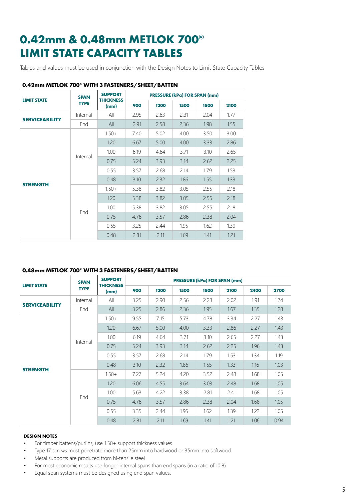# **0.42mm & 0.48mm METLOK 700® LIMIT STATE CAPACITY TABLES**

Tables and values must be used in conjunction with the Design Notes to Limit State Capacity Tables

| <b>LIMIT STATE</b>    | <b>SPAN</b> | <b>SUPPORT</b><br><b>THICKNESS</b> |      |      |      | <b>PRESSURE (kPa) FOR SPAN (mm)</b> |      |
|-----------------------|-------------|------------------------------------|------|------|------|-------------------------------------|------|
|                       | <b>TYPE</b> | (mm)                               | 900  | 1200 | 1500 | 1800                                | 2100 |
| <b>SERVICEABILITY</b> | Internal    | All                                | 2.95 | 2.63 | 2.31 | 2.04                                | 1.77 |
|                       | End         | All                                | 2.91 | 2.58 | 2.36 | 1.98                                | 1.55 |
|                       |             | $1.50+$                            | 7.40 | 5.02 | 4.00 | 3.50                                | 3.00 |
|                       |             | 1.20                               | 6.67 | 5.00 | 4.00 | 3.33                                | 2.86 |
|                       | Internal    | 1.00                               | 6.19 | 4.64 | 3.71 | 3.10                                | 2.65 |
|                       |             | 0.75                               | 5.24 | 3.93 | 3.14 | 2.62                                | 2.25 |
|                       |             | 0.55                               | 3.57 | 2.68 | 2.14 | 1.79                                | 1.53 |
| <b>STRENGTH</b>       |             | 0.48                               | 3.10 | 2.32 | 1.86 | 1.55                                | 1.33 |
|                       |             | $1.50+$                            | 5.38 | 3.82 | 3.05 | 2.55                                | 2.18 |
|                       |             | 1.20                               | 5.38 | 3.82 | 3.05 | 2.55                                | 2.18 |
|                       |             | 1.00                               | 5.38 | 3.82 | 3.05 | 2.55                                | 2.18 |
|                       | End         | 0.75                               | 4.76 | 3.57 | 2.86 | 2.38                                | 2.04 |
|                       |             | 0.55                               | 3.25 | 2.44 | 1.95 | 1.62                                | 1.39 |
|                       |             | 0.48                               | 2.81 | 2.11 | 1.69 | 1.41                                | 1.21 |

## **0.42mm METLOK 700® WITH 3 FASTENERS/SHEET/BATTEN**

#### **0.48mm METLOK 700® WITH 3 FASTENERS/SHEET/BATTEN**

|                       | <b>SPAN</b> | <b>SUPPORT</b>           |      |      |      |      | <b>PRESSURE (kPa) FOR SPAN (mm)</b> |      |      |
|-----------------------|-------------|--------------------------|------|------|------|------|-------------------------------------|------|------|
| <b>LIMIT STATE</b>    | <b>TYPE</b> | <b>THICKNESS</b><br>(mm) | 900  | 1200 | 1500 | 1800 | 2100                                | 2400 | 2700 |
|                       | Internal    | All                      | 3.25 | 2.90 | 2.56 | 2.23 | 2.02                                | 1.91 | 1.74 |
| <b>SERVICEABILITY</b> | End         | All                      | 3.25 | 2.86 | 2.36 | 1.95 | 1.67                                | 1.35 | 1.28 |
|                       |             | $1.50+$                  | 9.55 | 7.15 | 5.73 | 4.78 | 3.34                                | 2.27 | 1.43 |
|                       |             | 1.20                     | 6.67 | 5.00 | 4.00 | 3.33 | 2.86                                | 2.27 | 1.43 |
|                       | Internal    | 1.00 <sub>1</sub>        | 6.19 | 4.64 | 3.71 | 3.10 | 2.65                                | 2.27 | 1.43 |
|                       |             | 0.75                     | 5.24 | 3.93 | 3.14 | 2.62 | 2.25                                | 1.96 | 1.43 |
|                       |             | 0.55                     | 3.57 | 2.68 | 2.14 | 1.79 | 1.53                                | 1.34 | 1.19 |
|                       |             | 0.48                     | 3.10 | 2.32 | 1.86 | 1.55 | 1.33                                | 1.16 | 1.03 |
| <b>STRENGTH</b>       |             | $1.50+$                  | 7.27 | 5.24 | 4.20 | 3.52 | 2.48                                | 1.68 | 1.05 |
|                       |             | 1.20                     | 6.06 | 4.55 | 3.64 | 3.03 | 2.48                                | 1.68 | 1.05 |
|                       |             | 1.00                     | 5.63 | 4.22 | 3.38 | 2.81 | 2.41                                | 1.68 | 1.05 |
|                       | End         | 0.75                     | 4.76 | 3.57 | 2.86 | 2.38 | 2.04                                | 1.68 | 1.05 |
|                       |             | 0.55                     | 3.35 | 2.44 | 1.95 | 1.62 | 1.39                                | 1.22 | 1.05 |
|                       |             | 0.48                     | 2.81 | 2.11 | 1.69 | 1.41 | 1.21                                | 1.06 | 0.94 |

#### **DESIGN NOTES**

- For timber battens/purlins, use 1.50+ support thickness values.
- Type 17 screws must penetrate more than 25mm into hardwood or 35mm into softwood.
- Metal supports are produced from hi-tensile steel.
- For most economic results use longer internal spans than end spans (in a ratio of 10:8).
- Equal span systems must be designed using end span values.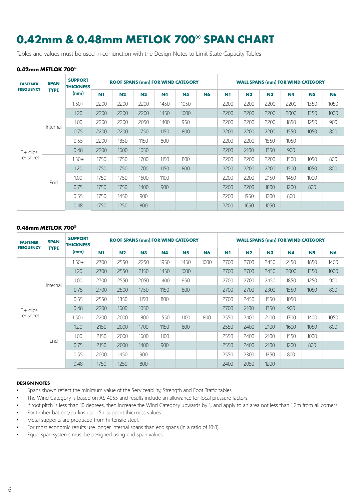# **0.42mm & 0.48mm METLOK 700® SPAN CHART**

Tables and values must be used in conjunction with the Design Notes to Limit State Capacity Tables

#### **0.42mm METLOK 700®**

| <b>FASTENER</b><br><b>FREQUENCY</b> | <b>SPAN</b><br><b>TYPE</b> | <b>SUPPORT</b><br><b>THICKNESS</b> | <b>ROOF SPANS (mm) FOR WIND CATEGORY</b> |                |                |           |                |           | <b>WALL SPANS (mm) FOR WIND CATEGORY</b> |                |      |           |                |           |
|-------------------------------------|----------------------------|------------------------------------|------------------------------------------|----------------|----------------|-----------|----------------|-----------|------------------------------------------|----------------|------|-----------|----------------|-----------|
|                                     |                            | (mm)                               | N <sub>1</sub>                           | N <sub>2</sub> | N <sub>3</sub> | <b>N4</b> | N <sub>5</sub> | <b>N6</b> | N1                                       | N <sub>2</sub> | N3   | <b>N4</b> | N <sub>5</sub> | <b>N6</b> |
|                                     | Internal                   | $1.50+$                            | 2200                                     | 2200           | 2200           | 1450      | 1050           |           | 2200                                     | 2200           | 2200 | 2200      | 1350           | 1050      |
|                                     |                            | 1.20                               | 2200                                     | 2200           | 2200           | 1450      | 1000           |           | 2200                                     | 2200           | 2200 | 2000      | 1350           | 1000      |
|                                     |                            | 1.00                               | 2200                                     | 2200           | 2050           | 1400      | 950            |           | 2200                                     | 2200           | 2200 | 1850      | 1250           | 900       |
|                                     |                            | 0.75                               | 2200                                     | 2200           | 1750           | 1150      | 800            |           | 2200                                     | 2200           | 2200 | 1550      | 1050           | 800       |
|                                     |                            | 0.55                               | 2200                                     | 1850           | 1150           | 800       |                |           | 2200                                     | 2200           | 1550 | 1050      |                |           |
| $3 + \text{clips}$                  |                            | 0.48                               | 2200                                     | 1600           | 1050           |           |                |           | 2200                                     | 2100           | 1350 | 900       |                |           |
| per sheet                           |                            | $1.50+$                            | 1750                                     | 1750           | 1700           | 1150      | 800            |           | 2200                                     | 2200           | 2200 | 1500      | 1050           | 800       |
|                                     |                            | 1.20                               | 1750                                     | 1750           | 1700           | 1150      | 800            |           | 2200                                     | 2200           | 2200 | 1500      | 1050           | 800       |
|                                     |                            | 1.00                               | 1750                                     | 1750           | 1600           | 1100      |                |           | 2200                                     | 2200           | 2150 | 1450      | 1000           |           |
|                                     | End                        | 0.75                               | 1750                                     | 1750           | 1400           | 900       |                |           | 2200                                     | 2200           | 1800 | 1200      | 800            |           |
|                                     |                            | 0.55                               | 1750                                     | 1450           | 900            |           |                |           | 2200                                     | 1950           | 1200 | 800       |                |           |
|                                     |                            | 0.48                               | 1750                                     | 1250           | 800            |           |                |           | 2200                                     | 1650           | 1050 |           |                |           |

#### **0.48mm METLOK 700®**

| <b>FASTENER</b><br><b>FREQUENCY</b> | <b>SPAN</b> | <b>SUPPORT</b><br><b>THICKNESS</b> | <b>ROOF SPANS (mm) FOR WIND CATEGORY</b> |                |                |           |           |           | <b>WALL SPANS (mm) FOR WIND CATEGORY</b> |                |      |           |                |           |
|-------------------------------------|-------------|------------------------------------|------------------------------------------|----------------|----------------|-----------|-----------|-----------|------------------------------------------|----------------|------|-----------|----------------|-----------|
|                                     | <b>TYPE</b> | (mm)                               | N1                                       | N <sub>2</sub> | N <sub>3</sub> | <b>N4</b> | <b>N5</b> | <b>N6</b> | N1                                       | N <sub>2</sub> | N3   | <b>N4</b> | N <sub>5</sub> | <b>N6</b> |
|                                     |             | $1.50+$                            | 2700                                     | 2550           | 2250           | 1950      | 1450      | 1000      | 2700                                     | 2700           | 2450 | 2150      | 1850           | 1400      |
|                                     |             | 1.20                               | 2700                                     | 2550           | 2150           | 1450      | 1000      |           | 2700                                     | 2700           | 2450 | 2000      | 1350           | 1000      |
|                                     | Internal    | 1.00                               | 2700                                     | 2550           | 2050           | 1400      | 950       |           | 2700                                     | 2700           | 2450 | 1850      | 1250           | 900       |
|                                     |             | 0.75                               | 2700                                     | 2500           | 1750           | 1150      | 800       |           | 2700                                     | 2700           | 2300 | 1550      | 1050           | 800       |
|                                     |             | 0.55                               | 2550                                     | 1850           | 1150           | 800       |           |           | 2700                                     | 2450           | 1550 | 1050      |                |           |
| $3 + \text{clips}$                  |             | 0.48                               | 2200                                     | 1600           | 1050           |           |           |           | 2700                                     | 2100           | 1350 | 900       |                |           |
| per sheet                           |             | $1.50+$                            | 2200                                     | 2000           | 1800           | 1550      | 1100      | 800       | 2550                                     | 2400           | 2100 | 1700      | 1400           | 1050      |
|                                     |             | 1.20                               | 2150                                     | 2000           | 1700           | 1150      | 800       |           | 2550                                     | 2400           | 2100 | 1600      | 1050           | 800       |
|                                     | End         | 1.00                               | 2150                                     | 2000           | 1600           | 1100      |           |           | 2550                                     | 2400           | 2100 | 1550      | 1000           |           |
|                                     |             | 0.75                               | 2150                                     | 2000           | 1400           | 900       |           |           | 2550                                     | 2400           | 2100 | 1200      | 800            |           |
|                                     |             | 0.55                               | 2000                                     | 1450           | 900            |           |           |           | 2550                                     | 2300           | 1350 | 800       |                |           |
|                                     |             | 0.48                               | 1750                                     | 1250           | 800            |           |           |           | 2400                                     | 2050           | 1200 |           |                |           |

#### **DESIGN NOTES**

- Spans shown reflect the minimum value of the Serviceability, Strength and Foot Traffic tables.
- The Wind Category is based on AS 4055 and results include an allowance for local pressure factors.
- If roof pitch is less than 10 degrees, then increase the Wind Category upwards by 1, and apply to an area not less than 1.2m from all corners.
- For timber battens/purlins use 1.5+ support thickness values.
- Metal supports are produced from hi-tensile steel.
- For most economic results use longer internal spans than end spans (in a ratio of 10:8).
- Equal span systems must be designed using end span values.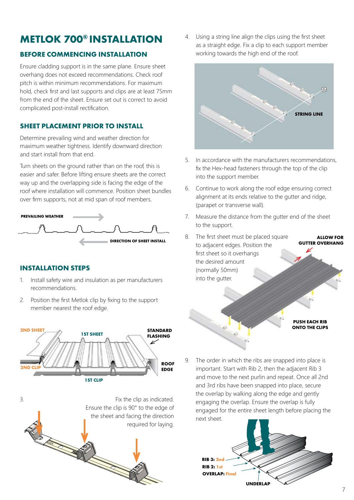# **METLOK 700® INSTALLATION**

# **BEFORE COMMENCING INSTALLATION**

Ensure cladding support is in the same plane. Ensure sheet overhang does not exceed recommendations. Check roof pitch is within minimum recommendations. For maximum hold, check first and last supports and clips are at least 75mm from the end of the sheet. Ensure set out is correct to avoid complicated post-install rectification.

# **SHEET PLACEMENT PRIOR TO INSTALL**

Determine prevailing wind and weather direction for maximum weather tightness. Identify downward direction and start install from that end.

Turn sheets on the ground rather than on the roof, this is easier and safer. Before lifting ensure sheets are the correct way up and the overlapping side is facing the edge of the roof where installation will commence. Position sheet bundles over firm supports, not at mid span of roof members.



# **INSTALLATION STEPS**

- 1. Install safety wire and insulation as per manufacturers recommendations.
- 2. Position the first Metlok clip by fixing to the support member nearest the roof edge.





4. Using a string line align the clips using the first sheet as a straight edge. Fix a clip to each support member working towards the high end of the roof.



- 5. In accordance with the manufacturers recommendations, fix the Hex-head fasteners through the top of the clip into the support member.
- 6. Continue to work along the roof edge ensuring correct alignment at its ends relative to the gutter and ridge, (parapet or transverse wall).
- 7. Measure the distance from the gutter end of the sheet to the support.
- 8. The first sheet must be placed square to adjacent edges. Position the first sheet so it overhangs the desired amount (normally 50mm) into the gutter. **ALLOW FOR GUTTER OVERHANG**

#### **PUSH EACH RIB ONTO THE CLIPS**

9. The order in which the ribs are snapped into place is important. Start with Rib 2, then the adjacent Rib 3 and move to the next purlin and repeat. Once all 2nd and 3rd ribs have been snapped into place, secure the overlap by walking along the edge and gently engaging the overlap. Ensure the overlap is fully engaged for the entire sheet length before placing the next sheet.